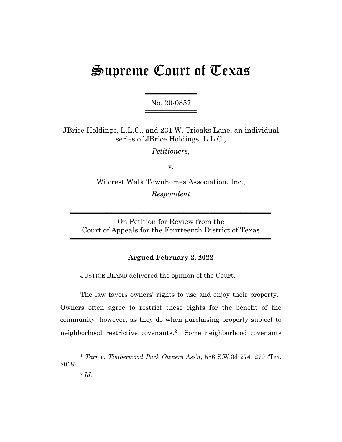# Supreme Court of Texas

═══════════════════ No. 20-0857 ═════════════════

JBrice Holdings, L.L.C., and 231 W. Trioaks Lane, an individual series of JBrice Holdings, L.L.C.,

*Petitioners*,

v.

Wilcrest Walk Townhomes Association, Inc., *Respondent*

On Petition for Review from the Court of Appeals for the Fourteenth District of Texas

═══════════════════════════════════════

═══════════════════════════════════════

# **Argued February 2, 2022**

JUSTICE BLAND delivered the opinion of the Court.

The law favors owners' rights to use and enjoy their property.<sup>1</sup> Owners often agree to restrict these rights for the benefit of the community, however, as they do when purchasing property subject to neighborhood restrictive covenants.2 Some neighborhood covenants

<sup>1</sup> *Tarr v. Timberwood Park Owners Ass'n*, 556 S.W.3d 274, 279 (Tex. 2018).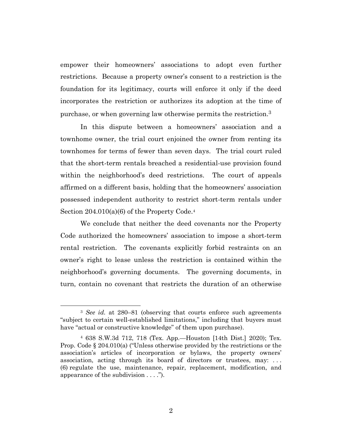empower their homeowners' associations to adopt even further restrictions. Because a property owner's consent to a restriction is the foundation for its legitimacy, courts will enforce it only if the deed incorporates the restriction or authorizes its adoption at the time of purchase, or when governing law otherwise permits the restriction.<sup>3</sup>

In this dispute between a homeowners' association and a townhome owner, the trial court enjoined the owner from renting its townhomes for terms of fewer than seven days. The trial court ruled that the short-term rentals breached a residential-use provision found within the neighborhood's deed restrictions. The court of appeals affirmed on a different basis, holding that the homeowners' association possessed independent authority to restrict short-term rentals under Section 204.010(a)(6) of the Property Code.<sup>4</sup>

We conclude that neither the deed covenants nor the Property Code authorized the homeowners' association to impose a short-term rental restriction. The covenants explicitly forbid restraints on an owner's right to lease unless the restriction is contained within the neighborhood's governing documents. The governing documents, in turn, contain no covenant that restricts the duration of an otherwise

<sup>&</sup>lt;sup>3</sup> *See id.* at 280–81 (observing that courts enforce such agreements "subject to certain well-established limitations," including that buyers must have "actual or constructive knowledge" of them upon purchase).

<sup>4</sup> 638 S.W.3d 712, 718 (Tex. App.—Houston [14th Dist.] 2020); Tex. Prop. Code § 204.010(a) ("Unless otherwise provided by the restrictions or the association's articles of incorporation or bylaws, the property owners' association, acting through its board of directors or trustees, may: . . . (6) regulate the use, maintenance, repair, replacement, modification, and appearance of the subdivision . . . .").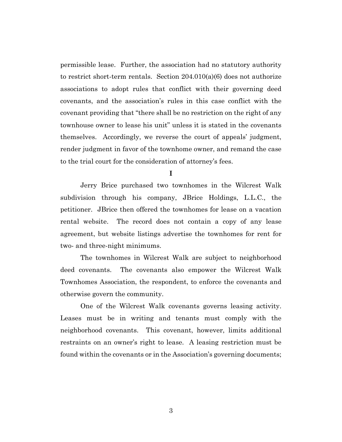permissible lease. Further, the association had no statutory authority to restrict short-term rentals. Section 204.010(a)(6) does not authorize associations to adopt rules that conflict with their governing deed covenants, and the association's rules in this case conflict with the covenant providing that "there shall be no restriction on the right of any townhouse owner to lease his unit" unless it is stated in the covenants themselves. Accordingly, we reverse the court of appeals' judgment, render judgment in favor of the townhome owner, and remand the case to the trial court for the consideration of attorney's fees.

**I**

Jerry Brice purchased two townhomes in the Wilcrest Walk subdivision through his company, JBrice Holdings, L.L.C., the petitioner. JBrice then offered the townhomes for lease on a vacation rental website. The record does not contain a copy of any lease agreement, but website listings advertise the townhomes for rent for two- and three-night minimums.

The townhomes in Wilcrest Walk are subject to neighborhood deed covenants. The covenants also empower the Wilcrest Walk Townhomes Association, the respondent, to enforce the covenants and otherwise govern the community.

One of the Wilcrest Walk covenants governs leasing activity. Leases must be in writing and tenants must comply with the neighborhood covenants. This covenant, however, limits additional restraints on an owner's right to lease. A leasing restriction must be found within the covenants or in the Association's governing documents;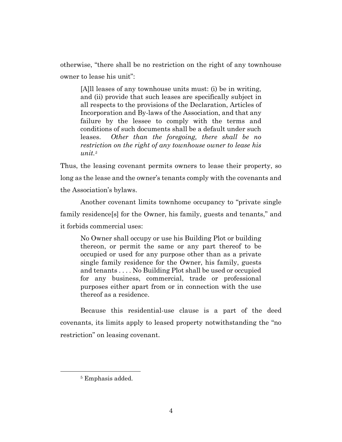otherwise, "there shall be no restriction on the right of any townhouse owner to lease his unit":

[A]ll leases of any townhouse units must: (i) be in writing, and (ii) provide that such leases are specifically subject in all respects to the provisions of the Declaration, Articles of Incorporation and By-laws of the Association, and that any failure by the lessee to comply with the terms and conditions of such documents shall be a default under such leases. *Other than the foregoing, there shall be no restriction on the right of any townhouse owner to lease his unit.<sup>5</sup>*

Thus, the leasing covenant permits owners to lease their property, so long as the lease and the owner's tenants comply with the covenants and the Association's bylaws.

Another covenant limits townhome occupancy to "private single family residence[s] for the Owner, his family, guests and tenants," and it forbids commercial uses:

No Owner shall occupy or use his Building Plot or building thereon, or permit the same or any part thereof to be occupied or used for any purpose other than as a private single family residence for the Owner, his family, guests and tenants . . . . No Building Plot shall be used or occupied for any business, commercial, trade or professional purposes either apart from or in connection with the use thereof as a residence.

Because this residential-use clause is a part of the deed covenants, its limits apply to leased property notwithstanding the "no restriction" on leasing covenant.

<sup>5</sup> Emphasis added.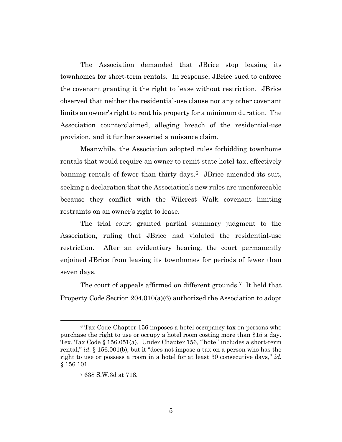The Association demanded that JBrice stop leasing its townhomes for short-term rentals. In response, JBrice sued to enforce the covenant granting it the right to lease without restriction. JBrice observed that neither the residential-use clause nor any other covenant limits an owner's right to rent his property for a minimum duration. The Association counterclaimed, alleging breach of the residential-use provision, and it further asserted a nuisance claim.

Meanwhile, the Association adopted rules forbidding townhome rentals that would require an owner to remit state hotel tax, effectively banning rentals of fewer than thirty days.<sup>6</sup> JBrice amended its suit, seeking a declaration that the Association's new rules are unenforceable because they conflict with the Wilcrest Walk covenant limiting restraints on an owner's right to lease.

The trial court granted partial summary judgment to the Association, ruling that JBrice had violated the residential-use restriction. After an evidentiary hearing, the court permanently enjoined JBrice from leasing its townhomes for periods of fewer than seven days.

The court of appeals affirmed on different grounds.<sup>7</sup> It held that Property Code Section 204.010(a)(6) authorized the Association to adopt

<sup>6</sup> Tax Code Chapter 156 imposes a hotel occupancy tax on persons who purchase the right to use or occupy a hotel room costing more than \$15 a day. Tex. Tax Code § 156.051(a). Under Chapter 156, "'hotel' includes a short-term rental," *id.* § 156.001(b), but it "does not impose a tax on a person who has the right to use or possess a room in a hotel for at least 30 consecutive days," *id.* § 156.101.

<sup>7</sup> 638 S.W.3d at 718.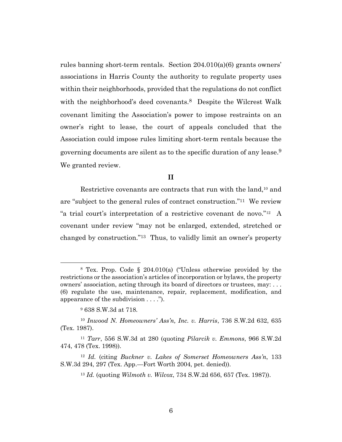rules banning short-term rentals. Section 204.010(a)(6) grants owners' associations in Harris County the authority to regulate property uses within their neighborhoods, provided that the regulations do not conflict with the neighborhood's deed covenants.<sup>8</sup> Despite the Wilcrest Walk covenant limiting the Association's power to impose restraints on an owner's right to lease, the court of appeals concluded that the Association could impose rules limiting short-term rentals because the governing documents are silent as to the specific duration of any lease.<sup>9</sup> We granted review.

# **II**

Restrictive covenants are contracts that run with the land,<sup>10</sup> and are "subject to the general rules of contract construction." <sup>11</sup> We review "a trial court's interpretation of a restrictive covenant de novo."<sup>12</sup> A covenant under review "may not be enlarged, extended, stretched or changed by construction."13 Thus, to validly limit an owner's property

<sup>8</sup> Tex. Prop. Code § 204.010(a) ("Unless otherwise provided by the restrictions or the association's articles of incorporation or bylaws, the property owners' association, acting through its board of directors or trustees, may: . . . (6) regulate the use, maintenance, repair, replacement, modification, and appearance of the subdivision . . . .").

<sup>9</sup> 638 S.W.3d at 718.

<sup>10</sup> *Inwood N. Homeowners' Ass'n, Inc. v. Harris*, 736 S.W.2d 632, 635 (Tex. 1987).

<sup>11</sup> *Tarr*, 556 S.W.3d at 280 (quoting *Pilarcik v. Emmons*, 966 S.W.2d 474, 478 (Tex. 1998)).

<sup>12</sup> *Id.* (citing *Buckner v. Lakes of Somerset Homeowners Ass'n*, 133 S.W.3d 294, 297 (Tex. App.—Fort Worth 2004, pet. denied)).

<sup>13</sup> *Id.* (quoting *Wilmoth v. Wilcox*, 734 S.W.2d 656, 657 (Tex. 1987)).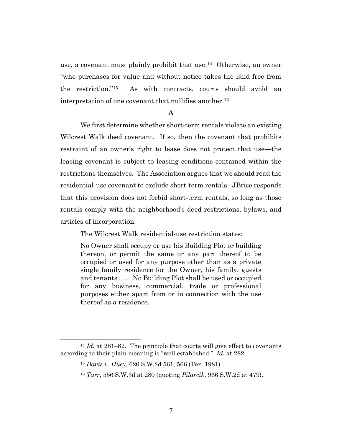use, a covenant must plainly prohibit that use.<sup>14</sup> Otherwise, an owner "who purchases for value and without notice takes the land free from the restriction."15 As with contracts, courts should avoid an interpretation of one covenant that nullifies another. <sup>16</sup>

#### **A**

We first determine whether short-term rentals violate an existing Wilcrest Walk deed covenant. If so, then the covenant that prohibits restraint of an owner's right to lease does not protect that use—the leasing covenant is subject to leasing conditions contained within the restrictions themselves. The Association argues that we should read the residential-use covenant to exclude short-term rentals. JBrice responds that this provision does not forbid short-term rentals, so long as those rentals comply with the neighborhood's deed restrictions, bylaws, and articles of incorporation.

The Wilcrest Walk residential-use restriction states:

No Owner shall occupy or use his Building Plot or building thereon, or permit the same or any part thereof to be occupied or used for any purpose other than as a private single family residence for the Owner, his family, guests and tenants . . . . No Building Plot shall be used or occupied for any business, commercial, trade or professional purposes either apart from or in connection with the use thereof as a residence.

<sup>&</sup>lt;sup>14</sup> *Id.* at 281–82. The principle that courts will give effect to covenants according to their plain meaning is "well established." *Id.* at 282.

<sup>15</sup> *Davis v. Huey*, 620 S.W.2d 561, 566 (Tex. 1981).

<sup>16</sup> *Tarr*, 556 S.W.3d at 280 (quoting *Pilarcik*, 966 S.W.2d at 479).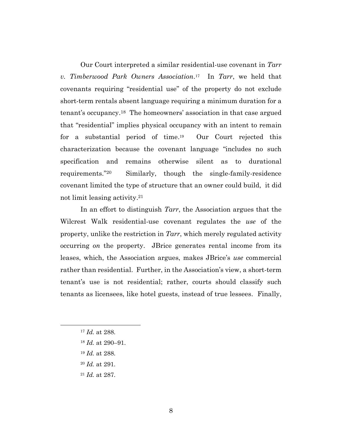Our Court interpreted a similar residential-use covenant in *Tarr v. Timberwood Park Owners Association*. 17 In *Tarr*, we held that covenants requiring "residential use" of the property do not exclude short-term rentals absent language requiring a minimum duration for a tenant's occupancy. <sup>18</sup> The homeowners' association in that case argued that "residential" implies physical occupancy with an intent to remain for a substantial period of time. 19 Our Court rejected this characterization because the covenant language "includes no such specification and remains otherwise silent as to durational requirements."20 Similarly, though the single-family-residence covenant limited the type of structure that an owner could build, it did not limit leasing activity. 21

In an effort to distinguish *Tarr*, the Association argues that the Wilcrest Walk residential-use covenant regulates the *use* of the property, unlike the restriction in *Tarr*, which merely regulated activity occurring *on* the property. JBrice generates rental income from its leases, which, the Association argues, makes JBrice's *use* commercial rather than residential. Further, in the Association's view, a short-term tenant's use is not residential; rather, courts should classify such tenants as licensees, like hotel guests, instead of true lessees. Finally,

- <sup>19</sup> *Id.* at 288.
- <sup>20</sup> *Id.* at 291.
- <sup>21</sup> *Id.* at 287.

<sup>17</sup> *Id.* at 288.

<sup>18</sup> *Id.* at 290–91.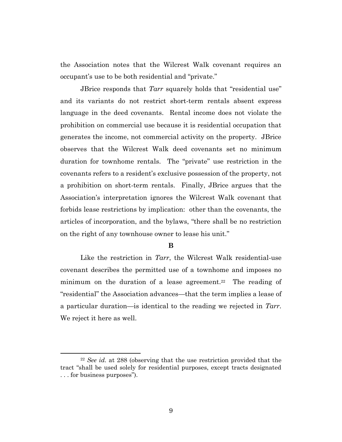the Association notes that the Wilcrest Walk covenant requires an occupant's use to be both residential and "private."

JBrice responds that *Tarr* squarely holds that "residential use" and its variants do not restrict short-term rentals absent express language in the deed covenants. Rental income does not violate the prohibition on commercial use because it is residential occupation that generates the income, not commercial activity on the property. JBrice observes that the Wilcrest Walk deed covenants set no minimum duration for townhome rentals. The "private" use restriction in the covenants refers to a resident's exclusive possession of the property, not a prohibition on short-term rentals. Finally, JBrice argues that the Association's interpretation ignores the Wilcrest Walk covenant that forbids lease restrictions by implication: other than the covenants, the articles of incorporation, and the bylaws, "there shall be no restriction on the right of any townhouse owner to lease his unit."

# **B**

Like the restriction in *Tarr*, the Wilcrest Walk residential-use covenant describes the permitted use of a townhome and imposes no minimum on the duration of a lease agreement.<sup>22</sup> The reading of "residential" the Association advances—that the term implies a lease of a particular duration—is identical to the reading we rejected in *Tarr*. We reject it here as well.

<sup>22</sup> *See id.* at 288 (observing that the use restriction provided that the tract "shall be used solely for residential purposes, except tracts designated . . . for business purposes").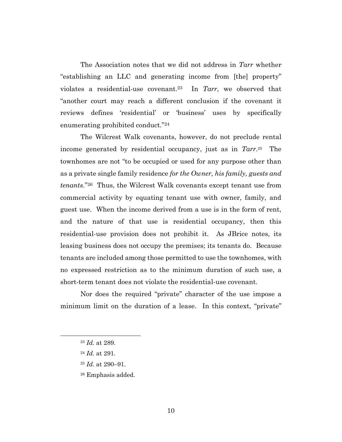The Association notes that we did not address in *Tarr* whether "establishing an LLC and generating income from [the] property" violates a residential-use covenant.23 In *Tarr*, we observed that "another court may reach a different conclusion if the covenant it reviews defines 'residential' or 'business' uses by specifically enumerating prohibited conduct." <sup>24</sup>

The Wilcrest Walk covenants, however, do not preclude rental income generated by residential occupancy, just as in *Tarr*. 25 The townhomes are not "to be occupied or used for any purpose other than as a private single family residence *for the Owner, his family, guests and tenants*." <sup>26</sup> Thus, the Wilcrest Walk covenants except tenant use from commercial activity by equating tenant use with owner, family, and guest use. When the income derived from a use is in the form of rent, and the nature of that use is residential occupancy, then this residential-use provision does not prohibit it. As JBrice notes, its leasing business does not occupy the premises; its tenants do. Because tenants are included among those permitted to use the townhomes, with no expressed restriction as to the minimum duration of such use, a short-term tenant does not violate the residential-use covenant.

Nor does the required "private" character of the use impose a minimum limit on the duration of a lease. In this context, "private"

- <sup>24</sup> *Id.* at 291.
- <sup>25</sup> *Id.* at 290–91.
- <sup>26</sup> Emphasis added.

<sup>23</sup> *Id.* at 289.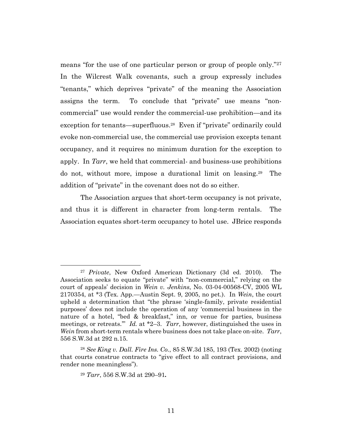means "for the use of one particular person or group of people only."<sup>27</sup> In the Wilcrest Walk covenants, such a group expressly includes "tenants," which deprives "private" of the meaning the Association assigns the term. To conclude that "private" use means "noncommercial" use would render the commercial-use prohibition—and its exception for tenants—superfluous.<sup>28</sup> Even if "private" ordinarily could evoke non-commercial use, the commercial use provision excepts tenant occupancy, and it requires no minimum duration for the exception to apply. In *Tarr*, we held that commercial- and business-use prohibitions do not, without more, impose a durational limit on leasing.<sup>29</sup> The addition of "private" in the covenant does not do so either.

The Association argues that short-term occupancy is not private, and thus it is different in character from long-term rentals. The Association equates short-term occupancy to hotel use. JBrice responds

<sup>27</sup> *Private*, New Oxford American Dictionary (3d ed. 2010). The Association seeks to equate "private" with "non-commercial," relying on the court of appeals' decision in *Wein v. Jenkins*, No. 03-04-00568-CV, 2005 WL 2170354, at \*3 (Tex. App.—Austin Sept. 9, 2005, no pet.). In *Wein*, the court upheld a determination that "the phrase 'single-family, private residential purposes' does not include the operation of any 'commercial business in the nature of a hotel, "bed & breakfast," inn, or venue for parties, business meetings, or retreats.'" *Id.* at \*2–3. *Tarr*, however, distinguished the uses in *Wein* from short-term rentals where business does not take place on-site. *Tarr*, 556 S.W.3d at 292 n.15.

<sup>28</sup> *See King v. Dall. Fire Ins. Co.*, 85 S.W.3d 185, 193 (Tex. 2002) (noting that courts construe contracts to "give effect to all contract provisions, and render none meaningless").

<sup>29</sup> *Tarr*, 556 S.W.3d at 290–91*.*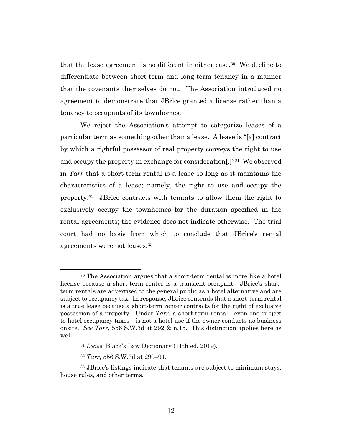that the lease agreement is no different in either case.<sup>30</sup> We decline to differentiate between short-term and long-term tenancy in a manner that the covenants themselves do not. The Association introduced no agreement to demonstrate that JBrice granted a license rather than a tenancy to occupants of its townhomes.

We reject the Association's attempt to categorize leases of a particular term as something other than a lease. A lease is "[a] contract by which a rightful possessor of real property conveys the right to use and occupy the property in exchange for consideration[.]"31 We observed in *Tarr* that a short-term rental is a lease so long as it maintains the characteristics of a lease; namely, the right to use and occupy the property. <sup>32</sup> JBrice contracts with tenants to allow them the right to exclusively occupy the townhomes for the duration specified in the rental agreements; the evidence does not indicate otherwise. The trial court had no basis from which to conclude that JBrice's rental agreements were not leases.<sup>33</sup>

<sup>30</sup> The Association argues that a short-term rental is more like a hotel license because a short-term renter is a transient occupant. JBrice's shortterm rentals are advertised to the general public as a hotel alternative and are subject to occupancy tax. In response, JBrice contends that a short-term rental is a true lease because a short-term renter contracts for the right of exclusive possession of a property. Under *Tarr*, a short-term rental—even one subject to hotel occupancy taxes—is not a hotel use if the owner conducts no business onsite. *See Tarr*, 556 S.W.3d at 292 & n.15. This distinction applies here as well.

<sup>31</sup> *Lease*, Black's Law Dictionary (11th ed. 2019).

<sup>32</sup> *Tarr*, 556 S.W.3d at 290–91.

<sup>&</sup>lt;sup>33</sup> JBrice's listings indicate that tenants are subject to minimum stays, house rules, and other terms.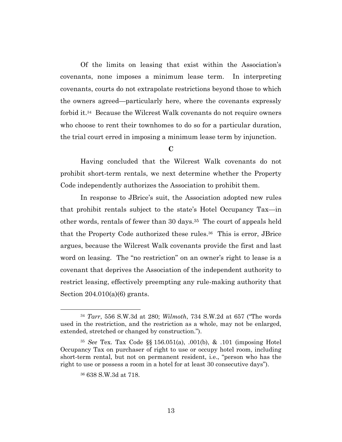Of the limits on leasing that exist within the Association's covenants, none imposes a minimum lease term. In interpreting covenants, courts do not extrapolate restrictions beyond those to which the owners agreed—particularly here, where the covenants expressly forbid it.<sup>34</sup> Because the Wilcrest Walk covenants do not require owners who choose to rent their townhomes to do so for a particular duration, the trial court erred in imposing a minimum lease term by injunction.

**C**

Having concluded that the Wilcrest Walk covenants do not prohibit short-term rentals, we next determine whether the Property Code independently authorizes the Association to prohibit them.

In response to JBrice's suit, the Association adopted new rules that prohibit rentals subject to the state's Hotel Occupancy Tax—in other words, rentals of fewer than 30 days.35 The court of appeals held that the Property Code authorized these rules.<sup>36</sup> This is error, JBrice argues, because the Wilcrest Walk covenants provide the first and last word on leasing. The "no restriction" on an owner's right to lease is a covenant that deprives the Association of the independent authority to restrict leasing, effectively preempting any rule-making authority that Section  $204.010(a)(6)$  grants.

<sup>34</sup> *Tarr*, 556 S.W.3d at 280; *Wilmoth*, 734 S.W.2d at 657 ("The words used in the restriction, and the restriction as a whole, may not be enlarged, extended, stretched or changed by construction.").

<sup>35</sup> *See* Tex. Tax Code §§ 156.051(a), .001(b), & .101 (imposing Hotel Occupancy Tax on purchaser of right to use or occupy hotel room, including short-term rental, but not on permanent resident, i.e., "person who has the right to use or possess a room in a hotel for at least 30 consecutive days").

<sup>36</sup> 638 S.W.3d at 718.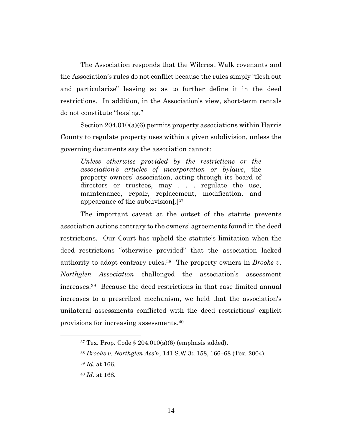The Association responds that the Wilcrest Walk covenants and the Association's rules do not conflict because the rules simply "flesh out and particularize" leasing so as to further define it in the deed restrictions. In addition, in the Association's view, short-term rentals do not constitute "leasing."

Section 204.010(a)(6) permits property associations within Harris County to regulate property uses within a given subdivision, unless the governing documents say the association cannot:

*Unless otherwise provided by the restrictions or the association's articles of incorporation or bylaws*, the property owners' association, acting through its board of directors or trustees, may . . . regulate the use, maintenance, repair, replacement, modification, and appearance of the subdivision[.] 37

The important caveat at the outset of the statute prevents association actions contrary to the owners' agreements found in the deed restrictions. Our Court has upheld the statute's limitation when the deed restrictions "otherwise provided" that the association lacked authority to adopt contrary rules.<sup>38</sup> The property owners in *Brooks v. Northglen Association* challenged the association's assessment increases. <sup>39</sup> Because the deed restrictions in that case limited annual increases to a prescribed mechanism, we held that the association's unilateral assessments conflicted with the deed restrictions' explicit provisions for increasing assessments. 40

 $37$  Tex. Prop. Code § 204.010(a)(6) (emphasis added).

<sup>38</sup> *Brooks v. Northglen Ass'n*, 141 S.W.3d 158, 166–68 (Tex. 2004).

<sup>39</sup> *Id*. at 166.

<sup>40</sup> *Id.* at 168.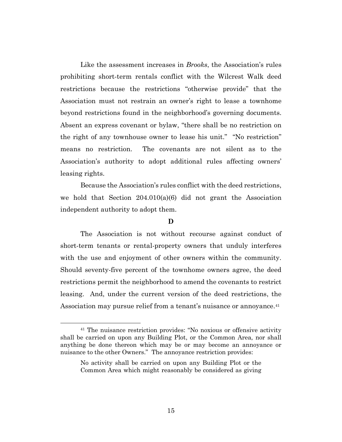Like the assessment increases in *Brooks*, the Association's rules prohibiting short-term rentals conflict with the Wilcrest Walk deed restrictions because the restrictions "otherwise provide" that the Association must not restrain an owner's right to lease a townhome beyond restrictions found in the neighborhood's governing documents. Absent an express covenant or bylaw, "there shall be no restriction on the right of any townhouse owner to lease his unit." "No restriction" means no restriction. The covenants are not silent as to the Association's authority to adopt additional rules affecting owners' leasing rights.

Because the Association's rules conflict with the deed restrictions, we hold that Section  $204.010(a)(6)$  did not grant the Association independent authority to adopt them.

# **D**

The Association is not without recourse against conduct of short-term tenants or rental-property owners that unduly interferes with the use and enjoyment of other owners within the community. Should seventy-five percent of the townhome owners agree, the deed restrictions permit the neighborhood to amend the covenants to restrict leasing. And, under the current version of the deed restrictions, the Association may pursue relief from a tenant's nuisance or annoyance.<sup>41</sup>

<sup>41</sup> The nuisance restriction provides: "No noxious or offensive activity shall be carried on upon any Building Plot, or the Common Area, nor shall anything be done thereon which may be or may become an annoyance or nuisance to the other Owners." The annoyance restriction provides:

No activity shall be carried on upon any Building Plot or the Common Area which might reasonably be considered as giving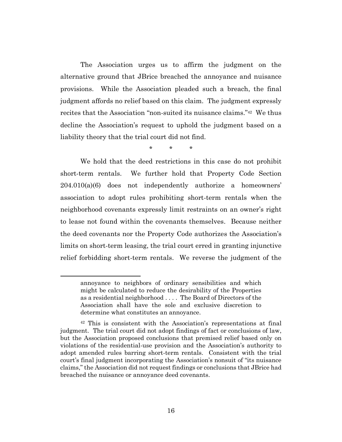The Association urges us to affirm the judgment on the alternative ground that JBrice breached the annoyance and nuisance provisions. While the Association pleaded such a breach, the final judgment affords no relief based on this claim. The judgment expressly recites that the Association "non-suited its nuisance claims."<sup>42</sup> We thus decline the Association's request to uphold the judgment based on a liability theory that the trial court did not find.

\* \* \*

We hold that the deed restrictions in this case do not prohibit short-term rentals. We further hold that Property Code Section 204.010(a)(6) does not independently authorize a homeowners' association to adopt rules prohibiting short-term rentals when the neighborhood covenants expressly limit restraints on an owner's right to lease not found within the covenants themselves. Because neither the deed covenants nor the Property Code authorizes the Association's limits on short-term leasing, the trial court erred in granting injunctive relief forbidding short-term rentals. We reverse the judgment of the

annoyance to neighbors of ordinary sensibilities and which might be calculated to reduce the desirability of the Properties as a residential neighborhood . . . . The Board of Directors of the Association shall have the sole and exclusive discretion to determine what constitutes an annoyance.

<sup>42</sup> This is consistent with the Association's representations at final judgment. The trial court did not adopt findings of fact or conclusions of law, but the Association proposed conclusions that premised relief based only on violations of the residential-use provision and the Association's authority to adopt amended rules barring short-term rentals. Consistent with the trial court's final judgment incorporating the Association's nonsuit of "its nuisance claims," the Association did not request findings or conclusions that JBrice had breached the nuisance or annoyance deed covenants.